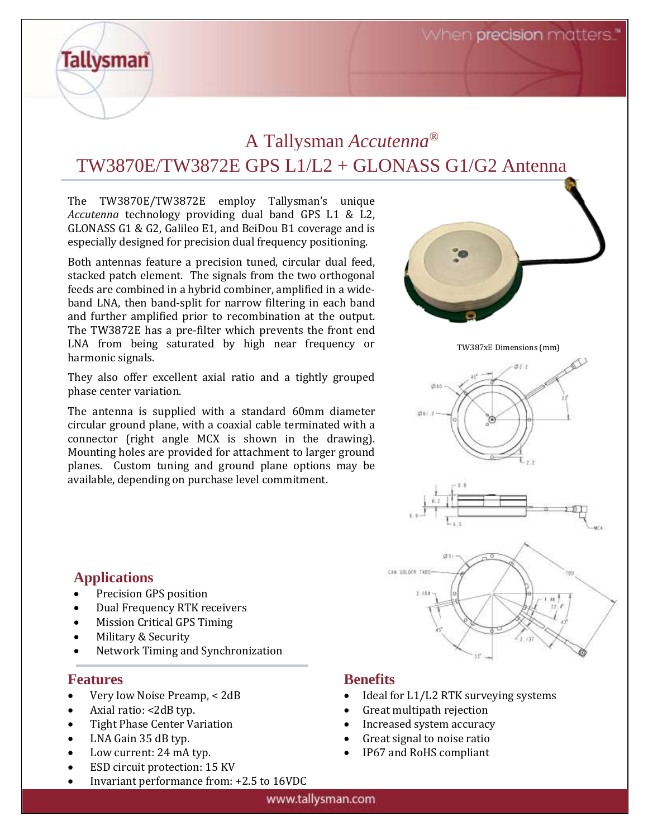When precision matters.

### A Tallysman *Accutenna®* TW3870E/TW3872E GPS L1/L2 + GLONASS G1/G2 Antenna

The TW3870E/TW3872E employ Tallysman's unique *Accutenna* technology providing dual band GPS L1 & L2, GLONASS G1 & G2, Galileo E1, and BeiDou B1 coverage and is especially designed for precision dual frequency positioning.

Both antennas feature a precision tuned, circular dual feed, stacked patch element. The signals from the two orthogonal feeds are combined in a hybrid combiner, amplified in a wideband LNA, then band-split for narrow filtering in each band and further amplified prior to recombination at the output. The TW3872E has a pre-filter which prevents the front end LNA from being saturated by high near frequency or harmonic signals.

They also offer excellent axial ratio and a tightly grouped phase center variation.

The antenna is supplied with a standard 60mm diameter circular ground plane, with a coaxial cable terminated with a connector (right angle MCX is shown in the drawing). Mounting holes are provided for attachment to larger ground planes. Custom tuning and ground plane options may be available, depending on purchase level commitment.



### **Applications**

**Tallysman** 

- Precision GPS position
- Dual Frequency RTK receivers
- Mission Critical GPS Timing
- Military & Security
- Network Timing and Synchronization

### **Features**

- Very low Noise Preamp, < 2dB
- Axial ratio: <2dB typ.
- Tight Phase Center Variation
- LNA Gain 35 dB typ.
- Low current: 24 mA typ.
- ESD circuit protection: 15 KV
- Invariant performance from: +2.5 to 16VDC

#### **Benefits**

- Ideal for L1/L2 RTK surveying systems
- Great multipath rejection
- Increased system accuracy
- Great signal to noise ratio
- IP67 and RoHS compliant